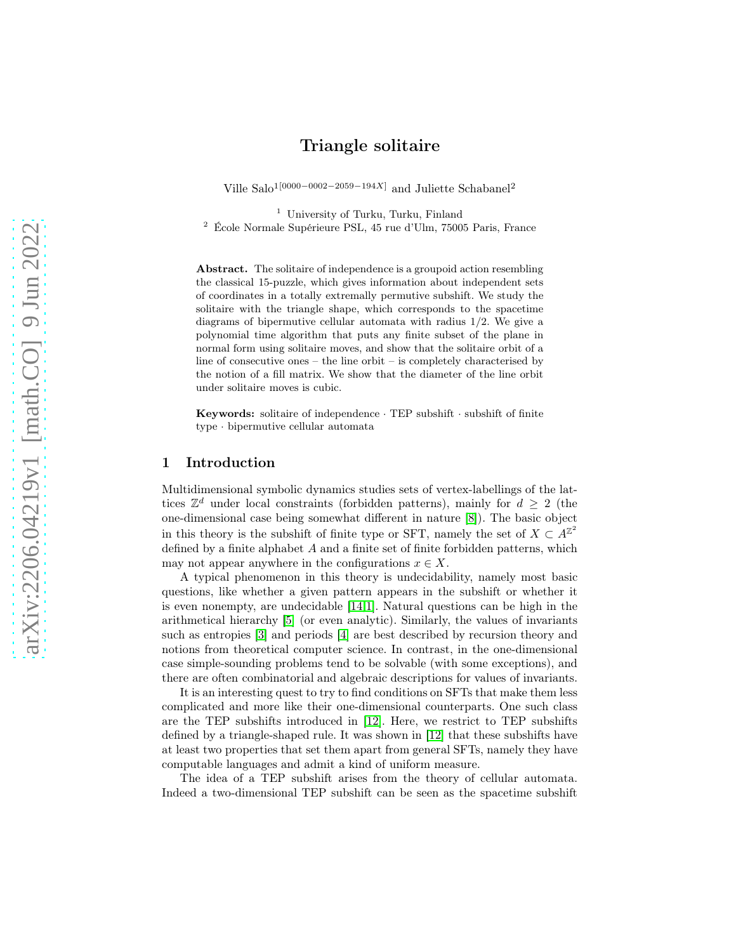# Triangle solitaire

Ville Salo<sup>1[0000–0002–2059–194X]</sup> and Juliette Schabanel<sup>2</sup>

<sup>1</sup> University of Turku, Turku, Finland

<sup>2</sup> École Normale Supérieure PSL, 45 rue d'Ulm, 75005 Paris, France

Abstract. The solitaire of independence is a groupoid action resembling the classical 15-puzzle, which gives information about independent sets of coordinates in a totally extremally permutive subshift. We study the solitaire with the triangle shape, which corresponds to the spacetime diagrams of bipermutive cellular automata with radius 1/2. We give a polynomial time algorithm that puts any finite subset of the plane in normal form using solitaire moves, and show that the solitaire orbit of a line of consecutive ones – the line orbit – is completely characterised by the notion of a fill matrix. We show that the diameter of the line orbit under solitaire moves is cubic.

Keywords: solitaire of independence · TEP subshift · subshift of finite type · bipermutive cellular automata

# 1 Introduction

Multidimensional symbolic dynamics studies sets of vertex-labellings of the lattices  $\mathbb{Z}^d$  under local constraints (forbidden patterns), mainly for  $d \geq 2$  (the one-dimensional case being somewhat different in nature [\[8\]](#page-11-0)). The basic object in this theory is the subshift of finite type or SFT, namely the set of  $X \subset A^{\mathbb{Z}^2}$ defined by a finite alphabet A and a finite set of finite forbidden patterns, which may not appear anywhere in the configurations  $x \in X$ .

A typical phenomenon in this theory is undecidability, namely most basic questions, like whether a given pattern appears in the subshift or whether it is even nonempty, are undecidable [\[14,](#page-11-1)[1\]](#page-11-2). Natural questions can be high in the arithmetical hierarchy [\[5\]](#page-11-3) (or even analytic). Similarly, the values of invariants such as entropies [\[3\]](#page-11-4) and periods [\[4\]](#page-11-5) are best described by recursion theory and notions from theoretical computer science. In contrast, in the one-dimensional case simple-sounding problems tend to be solvable (with some exceptions), and there are often combinatorial and algebraic descriptions for values of invariants.

It is an interesting quest to try to find conditions on SFTs that make them less complicated and more like their one-dimensional counterparts. One such class are the TEP subshifts introduced in [\[12\]](#page-11-6). Here, we restrict to TEP subshifts defined by a triangle-shaped rule. It was shown in [\[12\]](#page-11-6) that these subshifts have at least two properties that set them apart from general SFTs, namely they have computable languages and admit a kind of uniform measure.

The idea of a TEP subshift arises from the theory of cellular automata. Indeed a two-dimensional TEP subshift can be seen as the spacetime subshift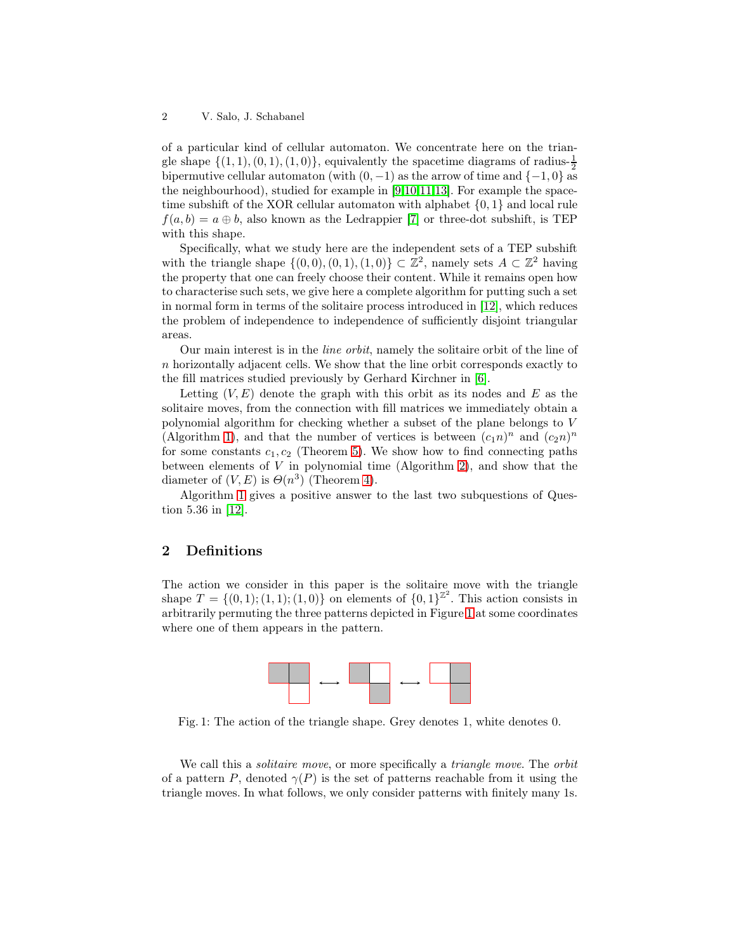of a particular kind of cellular automaton. We concentrate here on the triangle shape  $\{(1,1), (0,1), (1,0)\}$ , equivalently the spacetime diagrams of radius- $\frac{1}{2}$ bipermutive cellular automaton (with  $(0, -1)$  as the arrow of time and  $\{-1, 0\}$  as the neighbourhood), studied for example in [\[9,](#page-11-7)[10,](#page-11-8)[11](#page-11-9)[,13\]](#page-11-10). For example the spacetime subshift of the XOR cellular automaton with alphabet {0, 1} and local rule  $f(a, b) = a \oplus b$ , also known as the Ledrappier [\[7\]](#page-11-11) or three-dot subshift, is TEP with this shape.

Specifically, what we study here are the independent sets of a TEP subshift with the triangle shape  $\{(0,0), (0,1), (1,0)\} \subset \mathbb{Z}^2$ , namely sets  $A \subset \mathbb{Z}^2$  having the property that one can freely choose their content. While it remains open how to characterise such sets, we give here a complete algorithm for putting such a set in normal form in terms of the solitaire process introduced in [\[12\]](#page-11-6), which reduces the problem of independence to independence of sufficiently disjoint triangular areas.

Our main interest is in the line orbit, namely the solitaire orbit of the line of n horizontally adjacent cells. We show that the line orbit corresponds exactly to the fill matrices studied previously by Gerhard Kirchner in [\[6\]](#page-11-12).

Letting  $(V, E)$  denote the graph with this orbit as its nodes and E as the solitaire moves, from the connection with fill matrices we immediately obtain a polynomial algorithm for checking whether a subset of the plane belongs to V (Algorithm [1\)](#page-7-0), and that the number of vertices is between  $(c_1n)^n$  and  $(c_2n)^n$ for some constants  $c_1, c_2$  (Theorem [5\)](#page-10-0). We show how to find connecting paths between elements of  $V$  in polynomial time (Algorithm [2\)](#page-8-0), and show that the diameter of  $(V, E)$  is  $\Theta(n^3)$  (Theorem [4\)](#page-8-1).

Algorithm [1](#page-7-0) gives a positive answer to the last two subquestions of Question 5.36 in [\[12\]](#page-11-6).

# 2 Definitions

<span id="page-1-0"></span>The action we consider in this paper is the solitaire move with the triangle shape  $T = \{(0,1); (1,1); (1,0)\}$  on elements of  $\{0,1\}^{\mathbb{Z}^2}$ . This action consists in arbitrarily permuting the three patterns depicted in Figure [1](#page-1-0) at some coordinates where one of them appears in the pattern.



Fig. 1: The action of the triangle shape. Grey denotes 1, white denotes 0.

We call this a *solitaire move*, or more specifically a *triangle move*. The *orbit* of a pattern P, denoted  $\gamma(P)$  is the set of patterns reachable from it using the triangle moves. In what follows, we only consider patterns with finitely many 1s.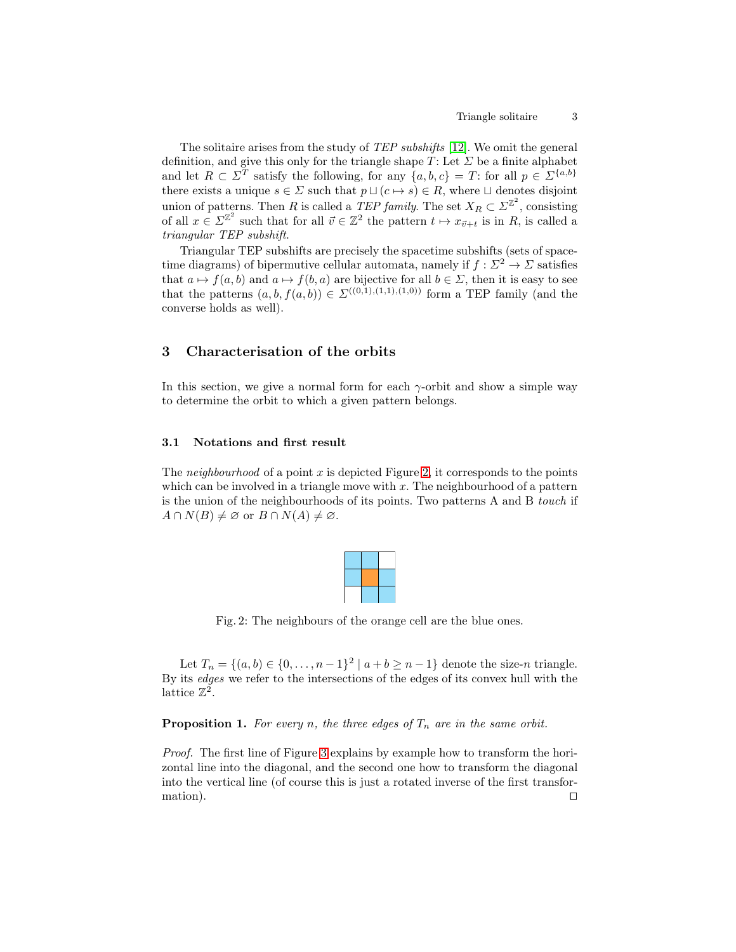The solitaire arises from the study of TEP subshifts [\[12\]](#page-11-6). We omit the general definition, and give this only for the triangle shape  $T$ : Let  $\Sigma$  be a finite alphabet and let  $R \subset \Sigma^T$  satisfy the following, for any  $\{a, b, c\} = T$ : for all  $p \in \Sigma^{\{a, b\}}$ there exists a unique  $s \in \Sigma$  such that  $p \sqcup (c \mapsto s) \in R$ , where  $\sqcup$  denotes disjoint union of patterns. Then R is called a TEP family. The set  $X_R \subset \Sigma^{\mathbb{Z}^2}$ , consisting of all  $x \in \Sigma^{\mathbb{Z}^2}$  such that for all  $\vec{v} \in \mathbb{Z}^2$  the pattern  $t \mapsto x_{\vec{v}+t}$  is in  $R$ , is called a triangular TEP subshift.

Triangular TEP subshifts are precisely the spacetime subshifts (sets of spacetime diagrams) of bipermutive cellular automata, namely if  $f : \Sigma^2 \to \Sigma$  satisfies that  $a \mapsto f(a, b)$  and  $a \mapsto f(b, a)$  are bijective for all  $b \in \Sigma$ , then it is easy to see that the patterns  $(a, b, f(a, b)) \in \Sigma^{((0,1),(1,1),(1,0))}$  form a TEP family (and the converse holds as well).

# 3 Characterisation of the orbits

In this section, we give a normal form for each  $\gamma$ -orbit and show a simple way to determine the orbit to which a given pattern belongs.

## 3.1 Notations and first result

<span id="page-2-0"></span>The *neighbourhood* of a point x is depicted Figure [2,](#page-2-0) it corresponds to the points which can be involved in a triangle move with  $x$ . The neighbourhood of a pattern is the union of the neighbourhoods of its points. Two patterns A and B touch if  $A \cap N(B) \neq \emptyset$  or  $B \cap N(A) \neq \emptyset$ .



Fig. 2: The neighbours of the orange cell are the blue ones.

Let  $T_n = \{(a, b) \in \{0, ..., n-1\}^2 \mid a+b \geq n-1\}$  denote the size-n triangle. By its edges we refer to the intersections of the edges of its convex hull with the lattice  $\mathbb{Z}^2$ .

**Proposition 1.** For every n, the three edges of  $T_n$  are in the same orbit.

Proof. The first line of Figure [3](#page-3-0) explains by example how to transform the horizontal line into the diagonal, and the second one how to transform the diagonal into the vertical line (of course this is just a rotated inverse of the first transformation). □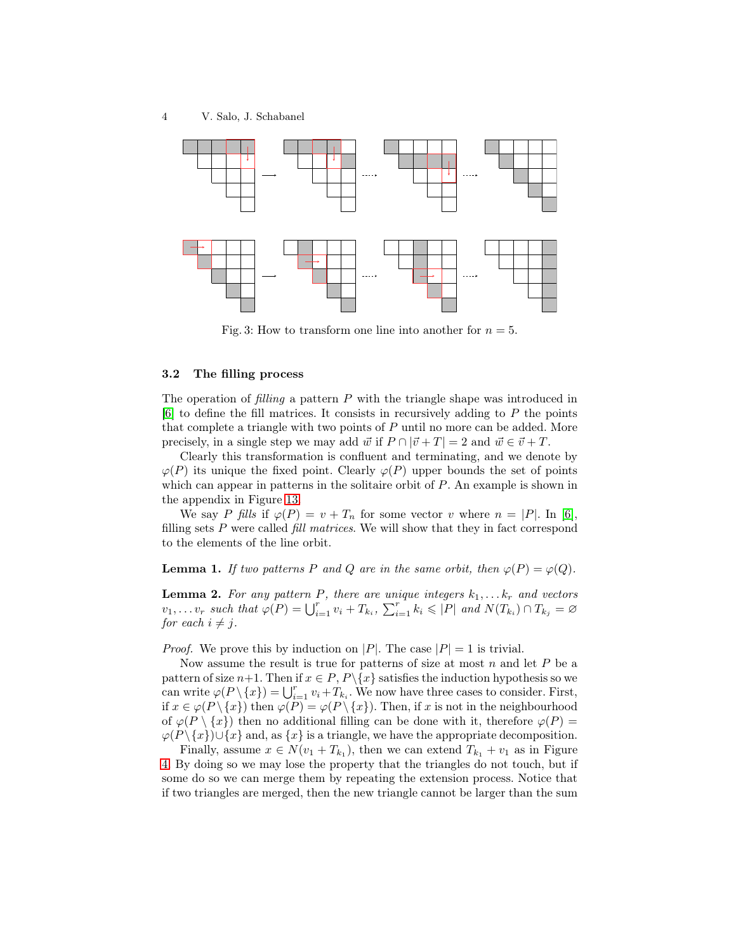<span id="page-3-0"></span>

Fig. 3: How to transform one line into another for  $n = 5$ .

#### 3.2 The filling process

The operation of filling a pattern P with the triangle shape was introduced in  $[6]$  to define the fill matrices. It consists in recursively adding to P the points that complete a triangle with two points of  $P$  until no more can be added. More precisely, in a single step we may add  $\vec{w}$  if  $P \cap |\vec{v} + T| = 2$  and  $\vec{w} \in \vec{v} + T$ .

Clearly this transformation is confluent and terminating, and we denote by  $\varphi(P)$  its unique the fixed point. Clearly  $\varphi(P)$  upper bounds the set of points which can appear in patterns in the solitaire orbit of  $P$ . An example is shown in the appendix in Figure [13.](#page-13-0)

We say P fills if  $\varphi(P) = v + T_n$  for some vector v where  $n = |P|$ . In [\[6\]](#page-11-12), filling sets  $P$  were called *fill matrices*. We will show that they in fact correspond to the elements of the line orbit.

<span id="page-3-2"></span>**Lemma 1.** If two patterns P and Q are in the same orbit, then  $\varphi(P) = \varphi(Q)$ .

<span id="page-3-1"></span>**Lemma 2.** For any pattern P, there are unique integers  $k_1, \ldots, k_r$  and vectors  $v_1, \ldots v_r$  such that  $\varphi(P) = \bigcup_{i=1}^r v_i + T_{k_i}, \sum_{i=1}^r k_i \leqslant |P|$  and  $N(T_{k_i}) \cap T_{k_j} = \varnothing$ for each  $i \neq j$ .

*Proof.* We prove this by induction on |P|. The case  $|P| = 1$  is trivial.

Now assume the result is true for patterns of size at most  $n$  and let  $P$  be a pattern of size  $n+1$ . Then if  $x \in P, P \setminus \{x\}$  satisfies the induction hypothesis so we can write  $\varphi(P \setminus \{x\}) = \bigcup_{i=1}^r v_i + T_{k_i}$ . We now have three cases to consider. First, if  $x \in \varphi(P \setminus \{x\})$  then  $\varphi(P) = \varphi(P \setminus \{x\})$ . Then, if x is not in the neighbourhood of  $\varphi(P \setminus \{x\})$  then no additional filling can be done with it, therefore  $\varphi(P)$  $\varphi(P \setminus \{x\}) \cup \{x\}$  and, as  $\{x\}$  is a triangle, we have the appropriate decomposition.

Finally, assume  $x \in N(v_1 + T_{k_1})$ , then we can extend  $T_{k_1} + v_1$  as in Figure [4.](#page-4-0) By doing so we may lose the property that the triangles do not touch, but if some do so we can merge them by repeating the extension process. Notice that if two triangles are merged, then the new triangle cannot be larger than the sum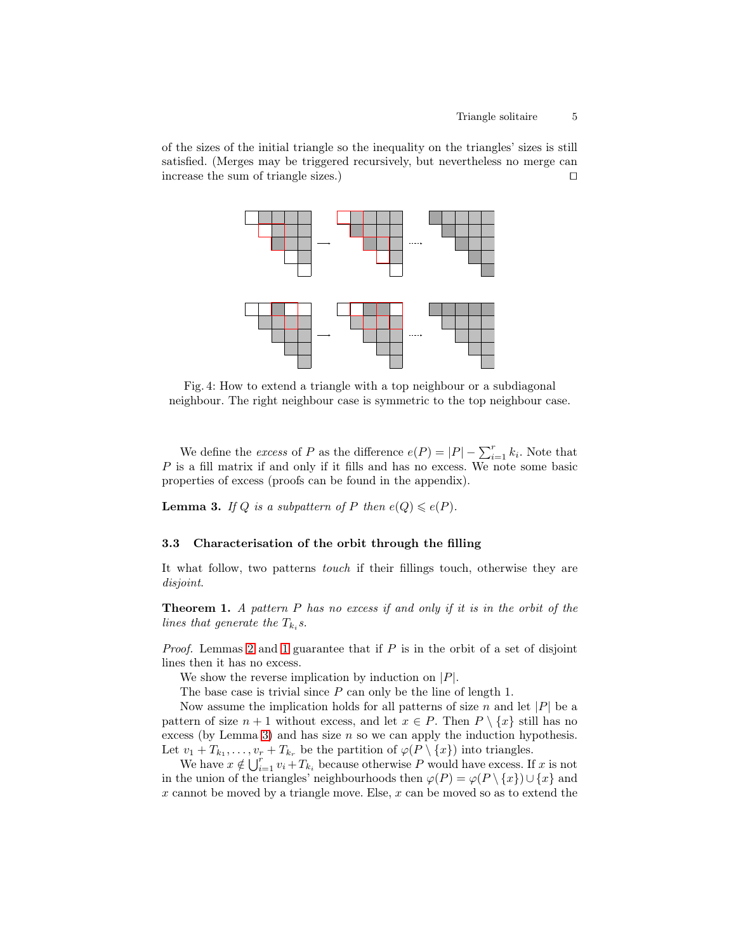<span id="page-4-0"></span>of the sizes of the initial triangle so the inequality on the triangles' sizes is still satisfied. (Merges may be triggered recursively, but nevertheless no merge can increase the sum of triangle sizes.) ⊓⊔



Fig. 4: How to extend a triangle with a top neighbour or a subdiagonal neighbour. The right neighbour case is symmetric to the top neighbour case.

We define the *excess* of P as the difference  $e(P) = |P| - \sum_{i=1}^{r} k_i$ . Note that P is a fill matrix if and only if it fills and has no excess. We note some basic properties of excess (proofs can be found in the appendix).

<span id="page-4-1"></span>**Lemma 3.** If Q is a subpattern of P then  $e(Q) \leq e(P)$ .

## 3.3 Characterisation of the orbit through the filling

<span id="page-4-2"></span>It what follow, two patterns touch if their fillings touch, otherwise they are disjoint.

**Theorem 1.** A pattern  $P$  has no excess if and only if it is in the orbit of the lines that generate the  $T_{k_i}$ s.

*Proof.* Lemmas [2](#page-3-1) and [1](#page-3-2) guarantee that if  $P$  is in the orbit of a set of disjoint lines then it has no excess.

We show the reverse implication by induction on  $|P|$ .

The base case is trivial since P can only be the line of length 1.

Now assume the implication holds for all patterns of size n and let  $|P|$  be a pattern of size  $n + 1$  without excess, and let  $x \in P$ . Then  $P \setminus \{x\}$  still has no excess (by Lemma [3\)](#page-4-1) and has size  $n$  so we can apply the induction hypothesis. Let  $v_1 + T_{k_1}, \ldots, v_r + T_{k_r}$  be the partition of  $\varphi(P \setminus \{x\})$  into triangles.

We have  $x \notin \bigcup_{i=1}^r v_i + T_{k_i}$  because otherwise P would have excess. If x is not in the union of the triangles' neighbourhoods then  $\varphi(P) = \varphi(P \setminus \{x\}) \cup \{x\}$  and  $x$  cannot be moved by a triangle move. Else,  $x$  can be moved so as to extend the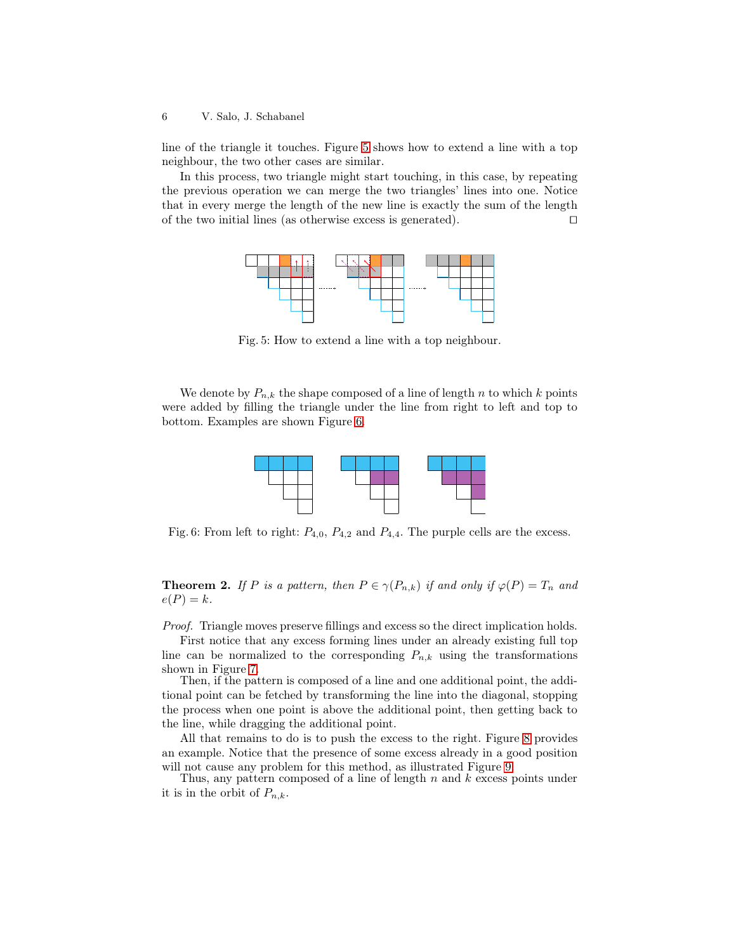line of the triangle it touches. Figure [5](#page-5-0) shows how to extend a line with a top neighbour, the two other cases are similar.

<span id="page-5-0"></span>In this process, two triangle might start touching, in this case, by repeating the previous operation we can merge the two triangles' lines into one. Notice that in every merge the length of the new line is exactly the sum of the length of the two initial lines (as otherwise excess is generated). ⊓⊔



Fig. 5: How to extend a line with a top neighbour.

<span id="page-5-1"></span>We denote by  $P_{n,k}$  the shape composed of a line of length n to which k points were added by filling the triangle under the line from right to left and top to bottom. Examples are shown Figure [6.](#page-5-1)



Fig. 6: From left to right:  $P_{4,0}$ ,  $P_{4,2}$  and  $P_{4,4}$ . The purple cells are the excess.

<span id="page-5-2"></span>**Theorem 2.** If P is a pattern, then  $P \in \gamma(P_{n,k})$  if and only if  $\varphi(P) = T_n$  and  $e(P) = k$ .

Proof. Triangle moves preserve fillings and excess so the direct implication holds.

First notice that any excess forming lines under an already existing full top line can be normalized to the corresponding  $P_{n,k}$  using the transformations shown in Figure [7.](#page-6-0)

Then, if the pattern is composed of a line and one additional point, the additional point can be fetched by transforming the line into the diagonal, stopping the process when one point is above the additional point, then getting back to the line, while dragging the additional point.

All that remains to do is to push the excess to the right. Figure [8](#page-6-1) provides an example. Notice that the presence of some excess already in a good position will not cause any problem for this method, as illustrated Figure [9.](#page-7-1)

Thus, any pattern composed of a line of length  $n$  and  $k$  excess points under it is in the orbit of  $P_{n,k}$ .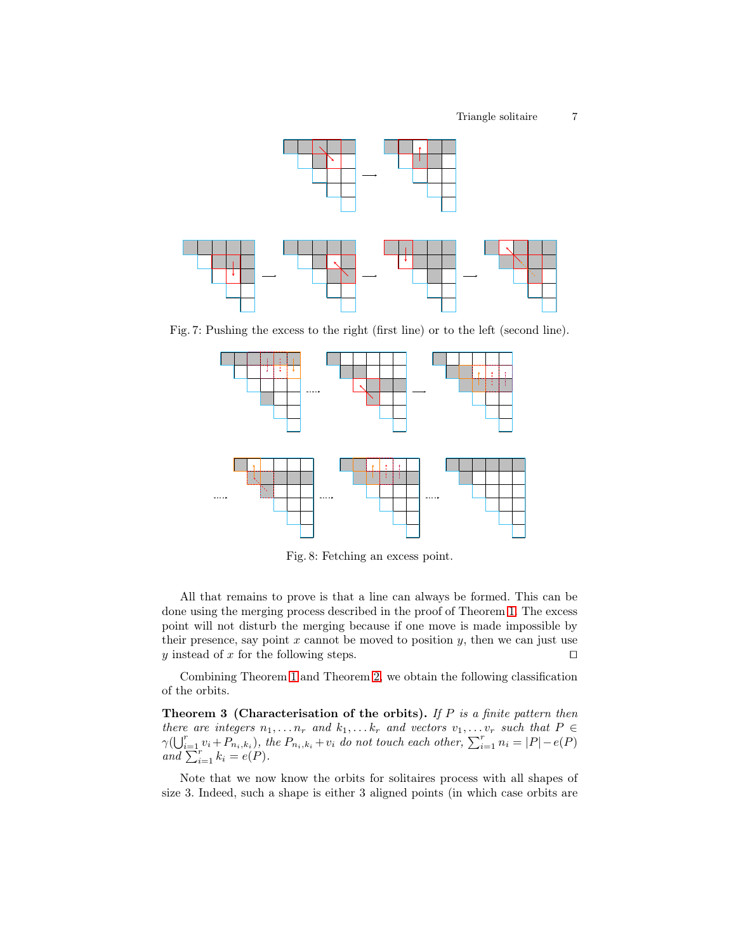<span id="page-6-0"></span>

<span id="page-6-1"></span>Fig. 7: Pushing the excess to the right (first line) or to the left (second line).



Fig. 8: Fetching an excess point.

All that remains to prove is that a line can always be formed. This can be done using the merging process described in the proof of Theorem [1.](#page-4-2) The excess point will not disturb the merging because if one move is made impossible by their presence, say point  $x$  cannot be moved to position  $y$ , then we can just use y instead of x for the following steps.  $□$ 

<span id="page-6-2"></span>Combining Theorem [1](#page-4-2) and Theorem [2,](#page-5-2) we obtain the following classification of the orbits.

**Theorem 3 (Characterisation of the orbits).** If  $P$  is a finite pattern then there are integers  $n_1, \ldots n_r$  and  $k_1, \ldots k_r$  and vectors  $v_1, \ldots v_r$  such that  $P \in$  $\gamma(\bigcup_{i=1}^r v_i + P_{n_i,k_i})$ , the  $P_{n_i,k_i} + v_i$  do not touch each other,  $\sum_{i=1}^r n_i = |P| - e(P)$ and  $\sum_{i=1}^{n-r} k_i = e(P)$ .

Note that we now know the orbits for solitaires process with all shapes of size 3. Indeed, such a shape is either 3 aligned points (in which case orbits are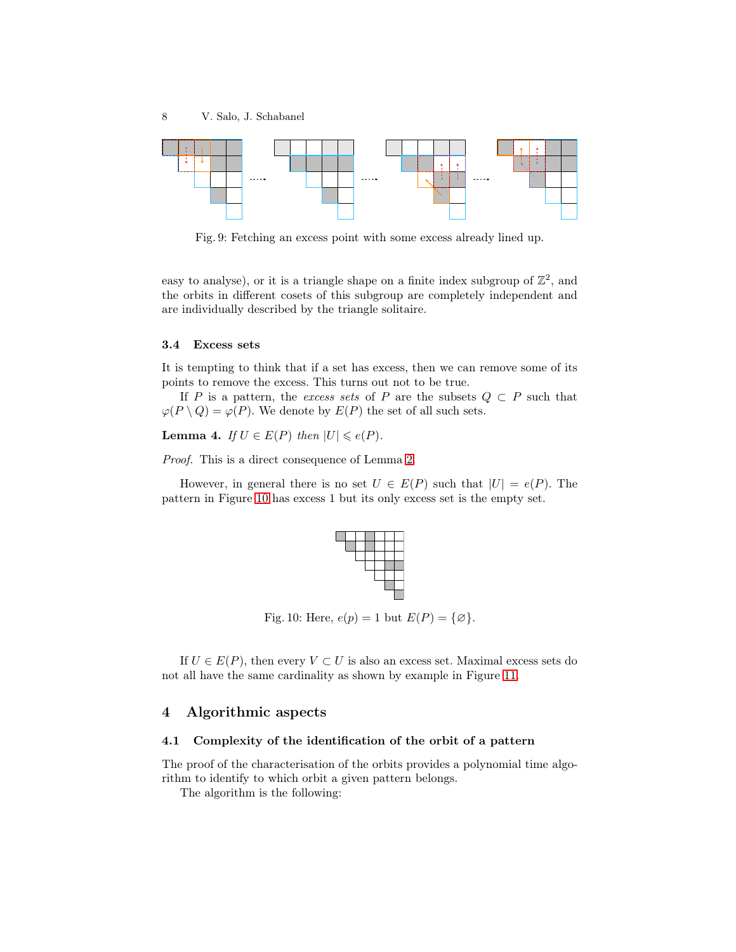<span id="page-7-1"></span>

Fig. 9: Fetching an excess point with some excess already lined up.

easy to analyse), or it is a triangle shape on a finite index subgroup of  $\mathbb{Z}^2$ , and the orbits in different cosets of this subgroup are completely independent and are individually described by the triangle solitaire.

### <span id="page-7-3"></span>3.4 Excess sets

It is tempting to think that if a set has excess, then we can remove some of its points to remove the excess. This turns out not to be true.

If P is a pattern, the excess sets of P are the subsets  $Q \subset P$  such that  $\varphi(P \setminus Q) = \varphi(P)$ . We denote by  $E(P)$  the set of all such sets.

**Lemma 4.** If  $U \in E(P)$  then  $|U| \leq e(P)$ .

Proof. This is a direct consequence of Lemma [2.](#page-3-1)

<span id="page-7-2"></span>However, in general there is no set  $U \in E(P)$  such that  $|U| = e(P)$ . The pattern in Figure [10](#page-7-2) has excess 1 but its only excess set is the empty set.



Fig. 10: Here,  $e(p) = 1$  but  $E(P) = \{\emptyset\}.$ 

If  $U \in E(P)$ , then every  $V \subset U$  is also an excess set. Maximal excess sets do not all have the same cardinality as shown by example in Figure [11.](#page-8-2)

# 4 Algorithmic aspects

## 4.1 Complexity of the identification of the orbit of a pattern

The proof of the characterisation of the orbits provides a polynomial time algorithm to identify to which orbit a given pattern belongs.

<span id="page-7-0"></span>The algorithm is the following: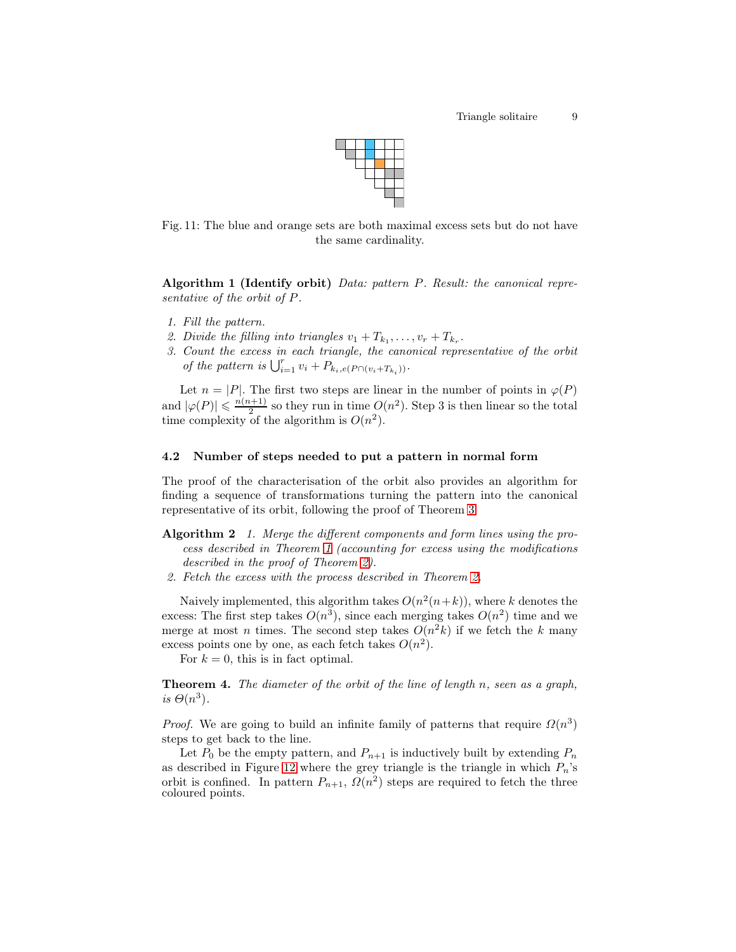

<span id="page-8-2"></span>Fig. 11: The blue and orange sets are both maximal excess sets but do not have the same cardinality.

Algorithm 1 (Identify orbit) Data: pattern P. Result: the canonical representative of the orbit of P.

- 1. Fill the pattern.
- 2. Divide the filling into triangles  $v_1 + T_{k_1}, \ldots, v_r + T_{k_r}$ .
- 3. Count the excess in each triangle, the canonical representative of the orbit of the pattern is  $\bigcup_{i=1}^r v_i + P_{k_i,e(P \cap (v_i + T_{k_i}))}$ .

Let  $n = |P|$ . The first two steps are linear in the number of points in  $\varphi(P)$ and  $|\varphi(P)| \leqslant \frac{n(n+1)}{2}$  $\frac{n+1}{2}$  so they run in time  $O(n^2)$ . Step 3 is then linear so the total time complexity of the algorithm is  $O(n^2)$ .

### 4.2 Number of steps needed to put a pattern in normal form

The proof of the characterisation of the orbit also provides an algorithm for finding a sequence of transformations turning the pattern into the canonical representative of its orbit, following the proof of Theorem [3:](#page-6-2)

- <span id="page-8-0"></span>Algorithm 2 1. Merge the different components and form lines using the process described in Theorem [1](#page-4-2) (accounting for excess using the modifications described in the proof of Theorem [2\)](#page-5-2).
- 2. Fetch the excess with the process described in Theorem [2.](#page-5-2)

Naively implemented, this algorithm takes  $O(n^2(n+k))$ , where k denotes the excess: The first step takes  $O(n^3)$ , since each merging takes  $O(n^2)$  time and we merge at most *n* times. The second step takes  $O(n^2k)$  if we fetch the k many excess points one by one, as each fetch takes  $O(n^2)$ .

<span id="page-8-1"></span>For  $k = 0$ , this is in fact optimal.

Theorem 4. The diameter of the orbit of the line of length n, seen as a graph, is  $\Theta(n^3)$ .

*Proof.* We are going to build an infinite family of patterns that require  $\Omega(n^3)$ steps to get back to the line.

Let  $P_0$  be the empty pattern, and  $P_{n+1}$  is inductively built by extending  $P_n$ as described in Figure [12](#page-9-0) where the grey triangle is the triangle in which  $P_n$ 's orbit is confined. In pattern  $P_{n+1}$ ,  $\Omega(n^2)$  steps are required to fetch the three coloured points.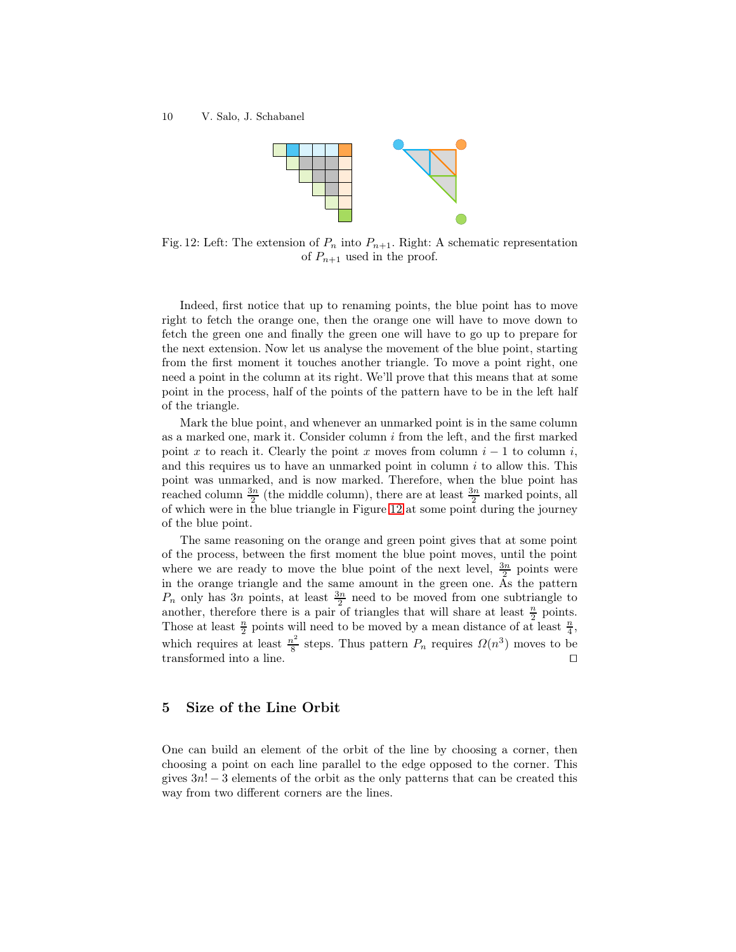<span id="page-9-0"></span>

Fig. 12: Left: The extension of  $P_n$  into  $P_{n+1}$ . Right: A schematic representation of  $P_{n+1}$  used in the proof.

Indeed, first notice that up to renaming points, the blue point has to move right to fetch the orange one, then the orange one will have to move down to fetch the green one and finally the green one will have to go up to prepare for the next extension. Now let us analyse the movement of the blue point, starting from the first moment it touches another triangle. To move a point right, one need a point in the column at its right. We'll prove that this means that at some point in the process, half of the points of the pattern have to be in the left half of the triangle.

Mark the blue point, and whenever an unmarked point is in the same column as a marked one, mark it. Consider column  $i$  from the left, and the first marked point x to reach it. Clearly the point x moves from column  $i-1$  to column i, and this requires us to have an unmarked point in column  $i$  to allow this. This point was unmarked, and is now marked. Therefore, when the blue point has reached column  $\frac{3n}{2}$  (the middle column), there are at least  $\frac{3n}{2}$  marked points, all of which were in the blue triangle in Figure [12](#page-9-0) at some point during the journey of the blue point.

The same reasoning on the orange and green point gives that at some point of the process, between the first moment the blue point moves, until the point where we are ready to move the blue point of the next level,  $\frac{3n}{2}$  points were in the orange triangle and the same amount in the green one. As the pattern  $P_n$  only has 3n points, at least  $\frac{3n}{2}$  need to be moved from one subtriangle to another, therefore there is a pair of triangles that will share at least  $\frac{n}{2}$  points. Those at least  $\frac{n}{2}$  points will need to be moved by a mean distance of at least  $\frac{n}{4}$ , which requires at least  $\frac{n^2}{8}$  $\frac{n^2}{8}$  steps. Thus pattern  $P_n$  requires  $\Omega(n^3)$  moves to be transformed into a line. ⊓⊔

# 5 Size of the Line Orbit

One can build an element of the orbit of the line by choosing a corner, then choosing a point on each line parallel to the edge opposed to the corner. This gives  $3n! - 3$  elements of the orbit as the only patterns that can be created this way from two different corners are the lines.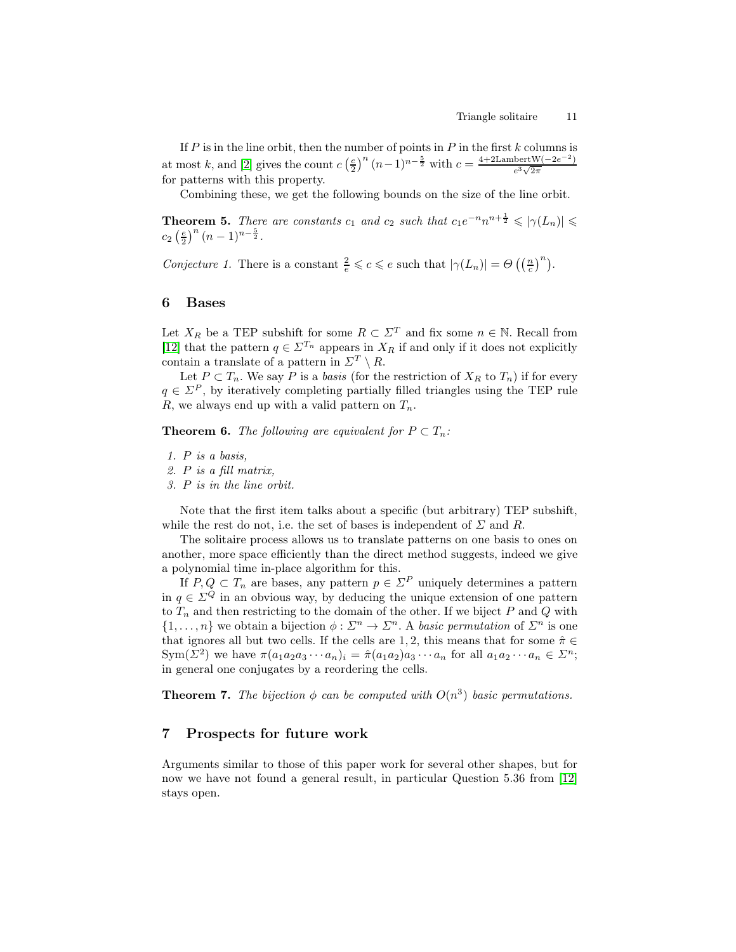If  $P$  is in the line orbit, then the number of points in  $P$  in the first  $k$  columns is at most k, and [\[2\]](#page-11-13) gives the count  $c\left(\frac{e}{2}\right)^n (n-1)^{n-\frac{5}{2}}$  with  $c = \frac{4+2\text{LambertW}(-2e^{-2})}{e^3\sqrt{2\pi}}$  $e^3\sqrt{2\pi}$ for patterns with this property.

<span id="page-10-0"></span>Combining these, we get the following bounds on the size of the line orbit.

**Theorem 5.** There are constants  $c_1$  and  $c_2$  such that  $c_1e^{-n}n^{n+\frac{1}{2}} \le |\gamma(L_n)| \le$  $c_2\left(\frac{e}{2}\right)^n(n-1)^{n-\frac{5}{2}}.$ 

Conjecture 1. There is a constant  $\frac{2}{e} \leqslant c \leqslant e$  such that  $|\gamma(L_n)| = \Theta\left(\left(\frac{n}{c}\right)^n\right)$ .

# 6 Bases

Let  $X_R$  be a TEP subshift for some  $R \subset \Sigma^T$  and fix some  $n \in \mathbb{N}$ . Recall from [\[12\]](#page-11-6) that the pattern  $q \in \Sigma^{T_n}$  appears in  $X_R$  if and only if it does not explicitly contain a translate of a pattern in  $\Sigma^T \setminus R$ .

Let  $P \subset T_n$ . We say P is a basis (for the restriction of  $X_R$  to  $T_n$ ) if for every  $q \in \mathbb{Z}^P$ , by iteratively completing partially filled triangles using the TEP rule R, we always end up with a valid pattern on  $T_n$ .

<span id="page-10-1"></span>**Theorem 6.** The following are equivalent for  $P \subset T_n$ :

Note that the first item talks about a specific (but arbitrary) TEP subshift, while the rest do not, i.e. the set of bases is independent of  $\Sigma$  and R.

The solitaire process allows us to translate patterns on one basis to ones on another, more space efficiently than the direct method suggests, indeed we give a polynomial time in-place algorithm for this.

If  $P, Q \subset T_n$  are bases, any pattern  $p \in \Sigma^P$  uniquely determines a pattern in  $q \in \mathbb{Z}^Q$  in an obvious way, by deducing the unique extension of one pattern to  $T_n$  and then restricting to the domain of the other. If we biject  $P$  and  $Q$  with  $\{1,\ldots,n\}$  we obtain a bijection  $\phi:\Sigma^n\to\Sigma^n$ . A basic permutation of  $\Sigma^n$  is one that ignores all but two cells. If the cells are 1, 2, this means that for some  $\hat{\pi} \in$ Sym( $\Sigma^2$ ) we have  $\pi(a_1a_2a_3\cdots a_n)_i = \hat{\pi}(a_1a_2)a_3\cdots a_n$  for all  $a_1a_2\cdots a_n \in \Sigma^n$ ; in general one conjugates by a reordering the cells.

<span id="page-10-2"></span>**Theorem 7.** The bijection  $\phi$  can be computed with  $O(n^3)$  basic permutations.

# 7 Prospects for future work

Arguments similar to those of this paper work for several other shapes, but for now we have not found a general result, in particular Question 5.36 from [\[12\]](#page-11-6) stays open.

<sup>1.</sup> P is a basis,

<sup>2.</sup> P is a fill matrix,

<sup>3.</sup> P is in the line orbit.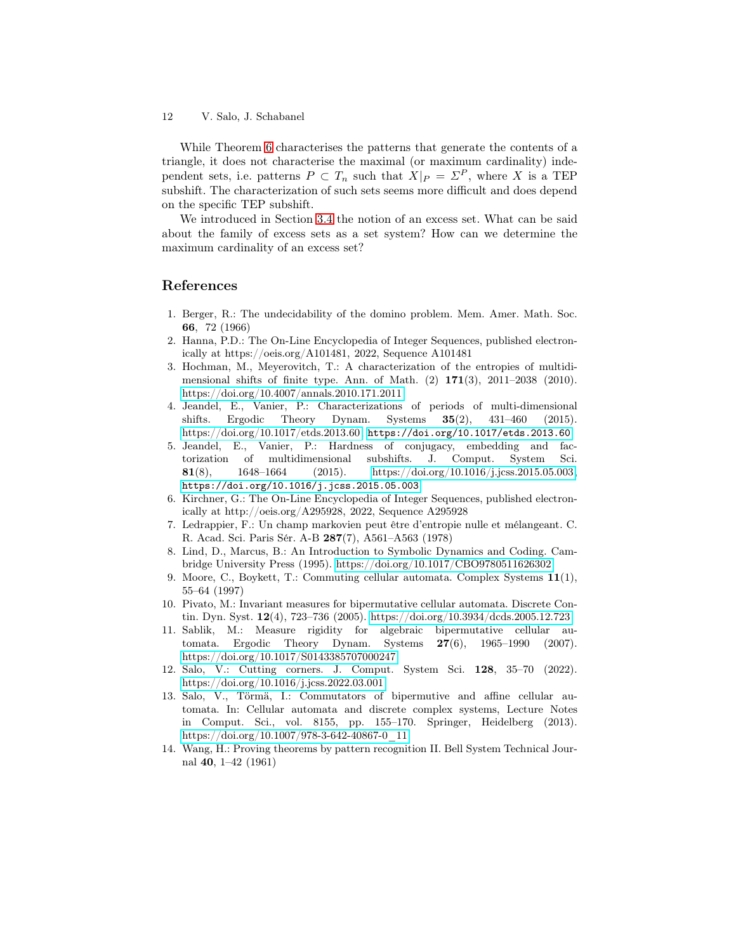While Theorem [6](#page-10-1) characterises the patterns that generate the contents of a triangle, it does not characterise the maximal (or maximum cardinality) independent sets, i.e. patterns  $P \subset T_n$  such that  $X|_P = \Sigma^P$ , where X is a TEP subshift. The characterization of such sets seems more difficult and does depend on the specific TEP subshift.

We introduced in Section [3.4](#page-7-3) the notion of an excess set. What can be said about the family of excess sets as a set system? How can we determine the maximum cardinality of an excess set?

# <span id="page-11-2"></span>References

- 1. Berger, R.: The undecidability of the domino problem. Mem. Amer. Math. Soc. 66, 72 (1966)
- <span id="page-11-13"></span>2. Hanna, P.D.: The On-Line Encyclopedia of Integer Sequences, published electronically at https://oeis.org/A101481, 2022, Sequence A101481
- <span id="page-11-4"></span>3. Hochman, M., Meyerovitch, T.: A characterization of the entropies of multidimensional shifts of finite type. Ann. of Math.  $(2)$  171 $(3)$ , 2011–2038 (2010). <https://doi.org/10.4007/annals.2010.171.2011>
- <span id="page-11-5"></span>4. Jeandel, E., Vanier, P.: Characterizations of periods of multi-dimensional shifts. Ergodic Theory Dynam. Systems 35(2), 431–460 (2015). [https://doi.org/10.1017/etds.2013.60,](https://doi.org/10.1017/etds.2013.60) <https://doi.org/10.1017/etds.2013.60>
- <span id="page-11-3"></span>5. Jeandel, E., Vanier, P.: Hardness of conjugacy, embedding and factorization of multidimensional subshifts. J. Comput. System Sci. **81(8),** 1648–1664 (2015). [https://doi.org/10.1016/j.jcss.2015.05.003,](https://doi.org/10.1016/j.jcss.2015.05.003) <https://doi.org/10.1016/j.jcss.2015.05.003>
- <span id="page-11-12"></span>6. Kirchner, G.: The On-Line Encyclopedia of Integer Sequences, published electronically at http://oeis.org/A295928, 2022, Sequence A295928
- <span id="page-11-11"></span>7. Ledrappier, F.: Un champ markovien peut être d'entropie nulle et mélangeant. C. R. Acad. Sci. Paris Sér. A-B 287(7), A561–A563 (1978)
- <span id="page-11-0"></span>8. Lind, D., Marcus, B.: An Introduction to Symbolic Dynamics and Coding. Cambridge University Press (1995).<https://doi.org/10.1017/CBO9780511626302>
- <span id="page-11-7"></span>9. Moore, C., Boykett, T.: Commuting cellular automata. Complex Systems 11(1), 55–64 (1997)
- <span id="page-11-8"></span>10. Pivato, M.: Invariant measures for bipermutative cellular automata. Discrete Contin. Dyn. Syst. 12(4), 723–736 (2005).<https://doi.org/10.3934/dcds.2005.12.723>
- <span id="page-11-9"></span>11. Sablik, M.: Measure rigidity for algebraic bipermutative cellular automata. Ergodic Theory Dynam. Systems 27(6), 1965–1990 (2007). <https://doi.org/10.1017/S0143385707000247>
- <span id="page-11-6"></span>12. Salo, V.: Cutting corners. J. Comput. System Sci. 128, 35–70 (2022). <https://doi.org/10.1016/j.jcss.2022.03.001>
- <span id="page-11-10"></span>13. Salo, V., Törmä, I.: Commutators of bipermutive and affine cellular automata. In: Cellular automata and discrete complex systems, Lecture Notes in Comput. Sci., vol. 8155, pp. 155–170. Springer, Heidelberg (2013). [https://doi.org/10.1007/978-3-642-40867-0\\_11](https://doi.org/10.1007/978-3-642-40867-0_11)
- <span id="page-11-1"></span>14. Wang, H.: Proving theorems by pattern recognition II. Bell System Technical Journal 40, 1–42 (1961)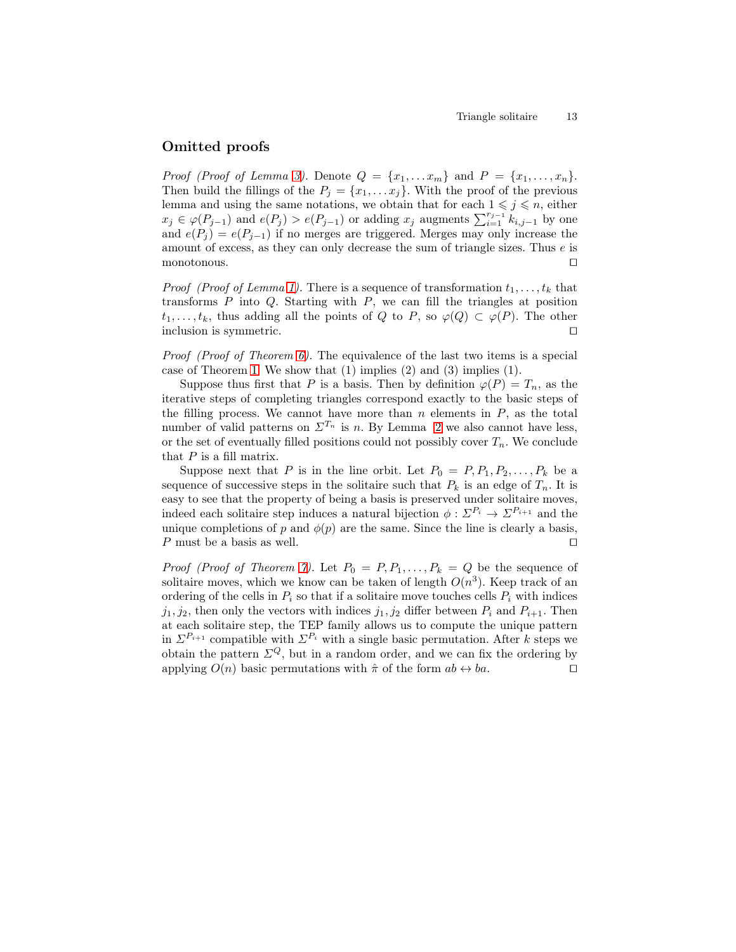# Omitted proofs

*Proof (Proof of Lemma [3\)](#page-4-1).* Denote  $Q = \{x_1, \ldots, x_m\}$  and  $P = \{x_1, \ldots, x_n\}$ . Then build the fillings of the  $P_j = \{x_1, \ldots x_j\}$ . With the proof of the previous lemma and using the same notations, we obtain that for each  $1 \leq j \leq n$ , either  $x_j \in \varphi(P_{j-1})$  and  $e(P_j) > e(P_{j-1})$  or adding  $x_j$  augments  $\sum_{i=1}^{r_{j-1}} k_{i,j-1}$  by one and  $e(P_i) = e(P_{i-1})$  if no merges are triggered. Merges may only increase the amount of excess, as they can only decrease the sum of triangle sizes. Thus e is monotonous. ⊓⊔

*Proof (Proof of Lemma [1\)](#page-3-2).* There is a sequence of transformation  $t_1, \ldots, t_k$  that transforms  $P$  into  $Q$ . Starting with  $P$ , we can fill the triangles at position  $t_1, \ldots, t_k$ , thus adding all the points of Q to P, so  $\varphi(Q) \subset \varphi(P)$ . The other inclusion is symmetric. ⊓⊔

Proof (Proof of Theorem [6\)](#page-10-1). The equivalence of the last two items is a special case of Theorem [1.](#page-4-2) We show that (1) implies (2) and (3) implies (1).

Suppose thus first that P is a basis. Then by definition  $\varphi(P) = T_n$ , as the iterative steps of completing triangles correspond exactly to the basic steps of the filling process. We cannot have more than  $n$  elements in  $P$ , as the total number of valid patterns on  $\Sigma^{T_n}$  is n. By Lemma [2](#page-3-1) we also cannot have less, or the set of eventually filled positions could not possibly cover  $T_n$ . We conclude that  $P$  is a fill matrix.

Suppose next that P is in the line orbit. Let  $P_0 = P_1, P_1, P_2, \ldots, P_k$  be a sequence of successive steps in the solitaire such that  $P_k$  is an edge of  $T_n$ . It is easy to see that the property of being a basis is preserved under solitaire moves, indeed each solitaire step induces a natural bijection  $\phi : \Sigma^{P_i} \to \Sigma^{P_{i+1}}$  and the unique completions of p and  $\phi(p)$  are the same. Since the line is clearly a basis, P must be a basis as well.  $□$ 

*Proof (Proof of Theorem [7\)](#page-10-2).* Let  $P_0 = P, P_1, \ldots, P_k = Q$  be the sequence of solitaire moves, which we know can be taken of length  $O(n^3)$ . Keep track of an ordering of the cells in  $P_i$  so that if a solitaire move touches cells  $P_i$  with indices  $j_1, j_2$ , then only the vectors with indices  $j_1, j_2$  differ between  $P_i$  and  $P_{i+1}$ . Then at each solitaire step, the TEP family allows us to compute the unique pattern in  $\Sigma^{P_{i+1}}$  compatible with  $\Sigma^{P_i}$  with a single basic permutation. After k steps we obtain the pattern  $\Sigma^Q$ , but in a random order, and we can fix the ordering by applying  $O(n)$  basic permutations with  $\hat{\pi}$  of the form  $ab \leftrightarrow ba$ . □